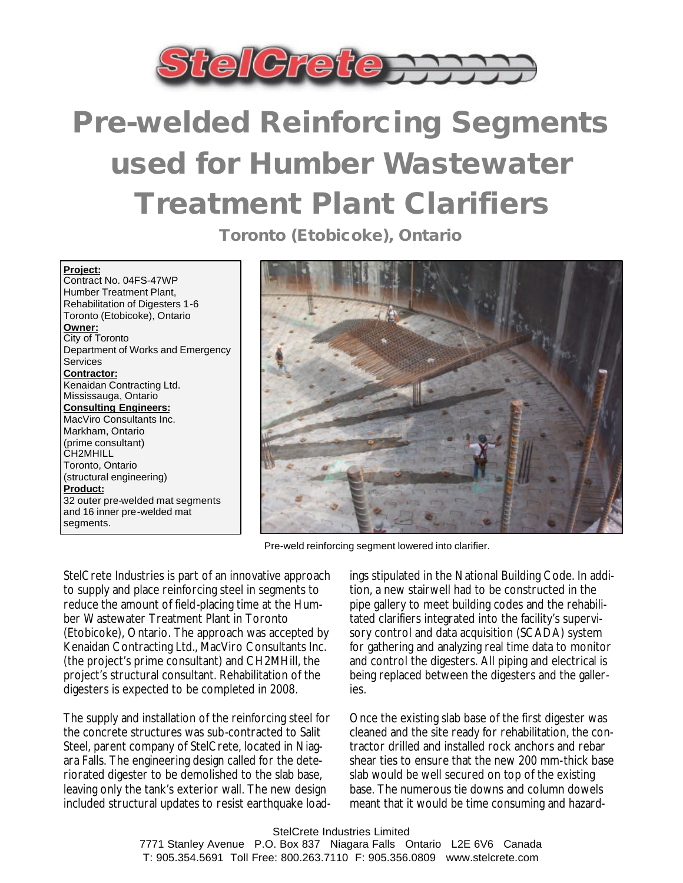

## **Pre-welded Reinforcing Segments used for Humber Wastewater Treatment Plant Clarifiers**

**Toronto (Etobicoke), Ontario**

**Project:**

Contract No. 04FS-47WP Humber Treatment Plant, Rehabilitation of Digesters 1-6 Toronto (Etobicoke), Ontario **Owner:** City of Toronto Department of Works and Emergency **Services Contractor:** Kenaidan Contracting Ltd. Mississauga, Ontario **Consulting Engineers:** MacViro Consultants Inc. Markham, Ontario (prime consultant) CH2MHILL Toronto, Ontario (structural engineering) **Product:** 32 outer pre-welded mat segments and 16 inner pre-welded mat segments.



Pre-weld reinforcing segment lowered into clarifier.

StelCrete Industries is part of an innovative approach to supply and place reinforcing steel in segments to reduce the amount of field-placing time at the Humber Wastewater Treatment Plant in Toronto (Etobicoke), Ontario. The approach was accepted by Kenaidan Contracting Ltd., MacViro Consultants Inc. (the project's prime consultant) and CH2MHill, the project's structural consultant. Rehabilitation of the digesters is expected to be completed in 2008.

The supply and installation of the reinforcing steel for the concrete structures was sub-contracted to Salit Steel, parent company of StelCrete, located in Niagara Falls. The engineering design called for the deteriorated digester to be demolished to the slab base, leaving only the tank's exterior wall. The new design included structural updates to resist earthquake load-

ings stipulated in the National Building Code. In addition, a new stairwell had to be constructed in the pipe gallery to meet building codes and the rehabilitated clarifiers integrated into the facility's supervisory control and data acquisition (SCADA) system for gathering and analyzing real time data to monitor and control the digesters. All piping and electrical is being replaced between the digesters and the galleries.

Once the existing slab base of the first digester was cleaned and the site ready for rehabilitation, the contractor drilled and installed rock anchors and rebar shear ties to ensure that the new 200 mm-thick base slab would be well secured on top of the existing base. The numerous tie downs and column dowels meant that it would be time consuming and hazard-

StelCrete Industries Limited 7771 Stanley Avenue P.O. Box 837 Niagara Falls Ontario L2E 6V6 Canada T: 905.354.5691 Toll Free: 800.263.7110 F: 905.356.0809 www.stelcrete.com